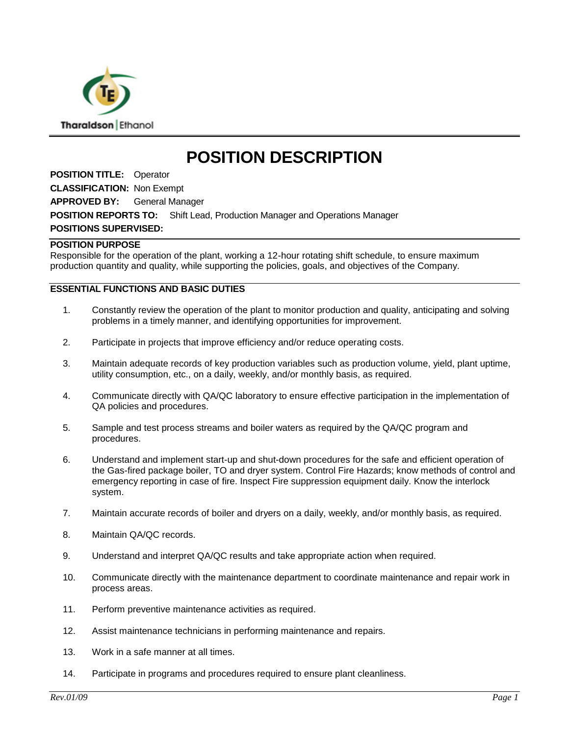

# **POSITION DESCRIPTION**

**POSITION TITLE:** Operator **CLASSIFICATION:** Non Exempt **APPROVED BY:** General Manager **POSITION REPORTS TO:** Shift Lead, Production Manager and Operations Manager **POSITIONS SUPERVISED:**

#### **POSITION PURPOSE**

Responsible for the operation of the plant, working a 12-hour rotating shift schedule, to ensure maximum production quantity and quality, while supporting the policies, goals, and objectives of the Company.

### **ESSENTIAL FUNCTIONS AND BASIC DUTIES**

- 1. Constantly review the operation of the plant to monitor production and quality, anticipating and solving problems in a timely manner, and identifying opportunities for improvement.
- 2. Participate in projects that improve efficiency and/or reduce operating costs.
- 3. Maintain adequate records of key production variables such as production volume, yield, plant uptime, utility consumption, etc., on a daily, weekly, and/or monthly basis, as required.
- 4. Communicate directly with QA/QC laboratory to ensure effective participation in the implementation of QA policies and procedures.
- 5. Sample and test process streams and boiler waters as required by the QA/QC program and procedures.
- 6. Understand and implement start-up and shut-down procedures for the safe and efficient operation of the Gas-fired package boiler, TO and dryer system. Control Fire Hazards; know methods of control and emergency reporting in case of fire. Inspect Fire suppression equipment daily. Know the interlock system.
- 7. Maintain accurate records of boiler and dryers on a daily, weekly, and/or monthly basis, as required.
- 8. Maintain QA/QC records.
- 9. Understand and interpret QA/QC results and take appropriate action when required.
- 10. Communicate directly with the maintenance department to coordinate maintenance and repair work in process areas.
- 11. Perform preventive maintenance activities as required.
- 12. Assist maintenance technicians in performing maintenance and repairs.
- 13. Work in a safe manner at all times.
- 14. Participate in programs and procedures required to ensure plant cleanliness.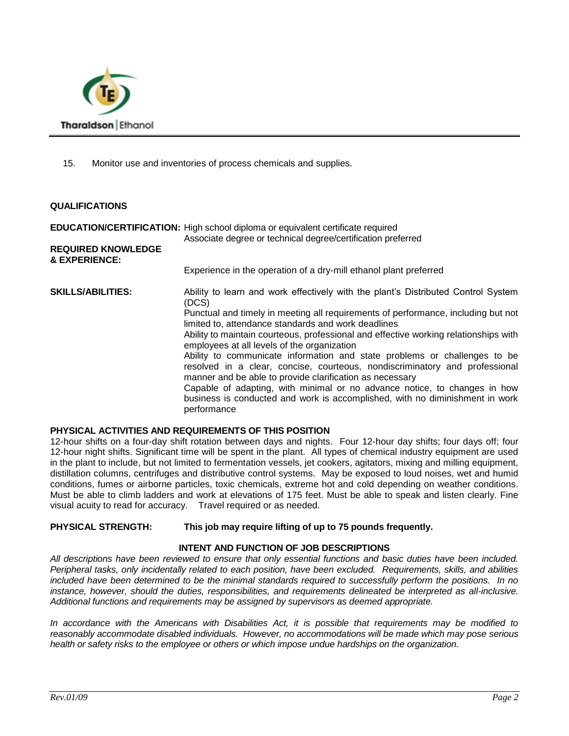

15. Monitor use and inventories of process chemicals and supplies.

#### **QUALIFICATIONS**

## **EDUCATION/CERTIFICATION:** High school diploma or equivalent certificate required Associate degree or technical degree/certification preferred **REQUIRED KNOWLEDGE & EXPERIENCE:** Experience in the operation of a dry-mill ethanol plant preferred **SKILLS/ABILITIES:** Ability to learn and work effectively with the plant's Distributed Control System (DCS) Punctual and timely in meeting all requirements of performance, including but not limited to, attendance standards and work deadlines Ability to maintain courteous, professional and effective working relationships with employees at all levels of the organization Ability to communicate information and state problems or challenges to be resolved in a clear, concise, courteous, nondiscriminatory and professional manner and be able to provide clarification as necessary Capable of adapting, with minimal or no advance notice, to changes in how business is conducted and work is accomplished, with no diminishment in work performance

## **PHYSICAL ACTIVITIES AND REQUIREMENTS OF THIS POSITION**

12-hour shifts on a four-day shift rotation between days and nights. Four 12-hour day shifts; four days off; four 12-hour night shifts. Significant time will be spent in the plant. All types of chemical industry equipment are used in the plant to include, but not limited to fermentation vessels, jet cookers, agitators, mixing and milling equipment, distillation columns, centrifuges and distributive control systems. May be exposed to loud noises, wet and humid conditions, fumes or airborne particles, toxic chemicals, extreme hot and cold depending on weather conditions. Must be able to climb ladders and work at elevations of 175 feet. Must be able to speak and listen clearly. Fine visual acuity to read for accuracy. Travel required or as needed.

#### **PHYSICAL STRENGTH: This job may require lifting of up to 75 pounds frequently.**

## **INTENT AND FUNCTION OF JOB DESCRIPTIONS**

*All descriptions have been reviewed to ensure that only essential functions and basic duties have been included. Peripheral tasks, only incidentally related to each position, have been excluded. Requirements, skills, and abilities included have been determined to be the minimal standards required to successfully perform the positions. In no instance, however, should the duties, responsibilities, and requirements delineated be interpreted as all-inclusive. Additional functions and requirements may be assigned by supervisors as deemed appropriate.* 

*In accordance with the Americans with Disabilities Act, it is possible that requirements may be modified to reasonably accommodate disabled individuals. However, no accommodations will be made which may pose serious health or safety risks to the employee or others or which impose undue hardships on the organization.*